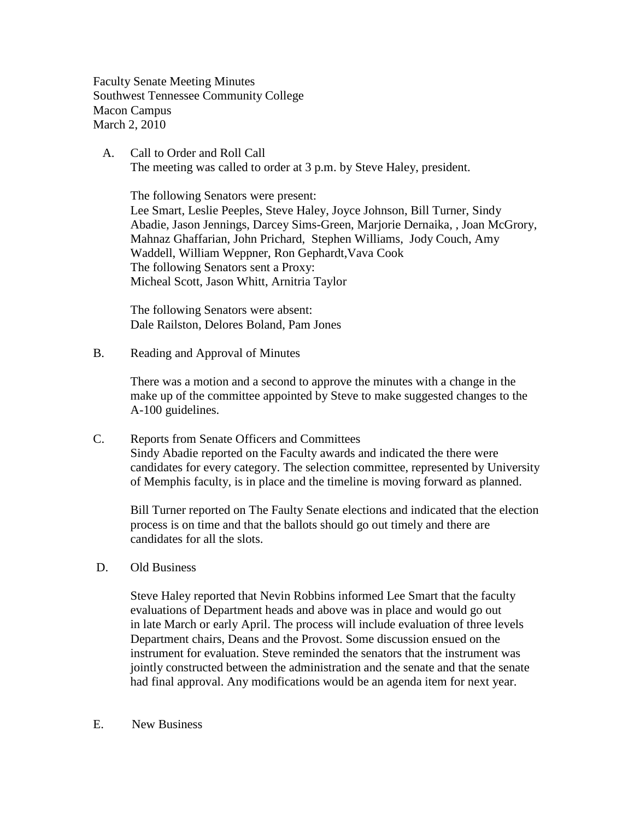Faculty Senate Meeting Minutes Southwest Tennessee Community College Macon Campus March 2, 2010

 A. Call to Order and Roll Call The meeting was called to order at 3 p.m. by Steve Haley, president.

The following Senators were present: Lee Smart, Leslie Peeples, Steve Haley, Joyce Johnson, Bill Turner, Sindy Abadie, Jason Jennings, Darcey Sims-Green, Marjorie Dernaika, , Joan McGrory, Mahnaz Ghaffarian, John Prichard, Stephen Williams, Jody Couch, Amy Waddell, William Weppner, Ron Gephardt,Vava Cook The following Senators sent a Proxy: Micheal Scott, Jason Whitt, Arnitria Taylor

The following Senators were absent: Dale Railston, Delores Boland, Pam Jones

B. Reading and Approval of Minutes

There was a motion and a second to approve the minutes with a change in the make up of the committee appointed by Steve to make suggested changes to the A-100 guidelines.

C. Reports from Senate Officers and Committees Sindy Abadie reported on the Faculty awards and indicated the there were candidates for every category. The selection committee, represented by University of Memphis faculty, is in place and the timeline is moving forward as planned.

Bill Turner reported on The Faulty Senate elections and indicated that the election process is on time and that the ballots should go out timely and there are candidates for all the slots.

D. Old Business

Steve Haley reported that Nevin Robbins informed Lee Smart that the faculty evaluations of Department heads and above was in place and would go out in late March or early April. The process will include evaluation of three levels Department chairs, Deans and the Provost. Some discussion ensued on the instrument for evaluation. Steve reminded the senators that the instrument was jointly constructed between the administration and the senate and that the senate had final approval. Any modifications would be an agenda item for next year.

E. New Business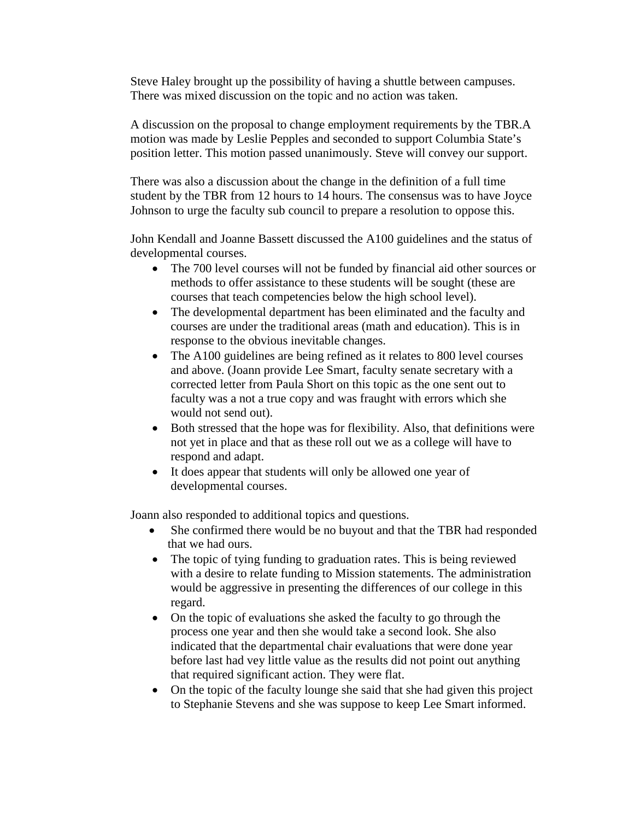Steve Haley brought up the possibility of having a shuttle between campuses. There was mixed discussion on the topic and no action was taken.

A discussion on the proposal to change employment requirements by the TBR.A motion was made by Leslie Pepples and seconded to support Columbia State's position letter. This motion passed unanimously. Steve will convey our support.

There was also a discussion about the change in the definition of a full time student by the TBR from 12 hours to 14 hours. The consensus was to have Joyce Johnson to urge the faculty sub council to prepare a resolution to oppose this.

John Kendall and Joanne Bassett discussed the A100 guidelines and the status of developmental courses.

- The 700 level courses will not be funded by financial aid other sources or methods to offer assistance to these students will be sought (these are courses that teach competencies below the high school level).
- The developmental department has been eliminated and the faculty and courses are under the traditional areas (math and education). This is in response to the obvious inevitable changes.
- The A100 guidelines are being refined as it relates to 800 level courses and above. (Joann provide Lee Smart, faculty senate secretary with a corrected letter from Paula Short on this topic as the one sent out to faculty was a not a true copy and was fraught with errors which she would not send out).
- Both stressed that the hope was for flexibility. Also, that definitions were not yet in place and that as these roll out we as a college will have to respond and adapt.
- It does appear that students will only be allowed one year of developmental courses.

Joann also responded to additional topics and questions.

- She confirmed there would be no buyout and that the TBR had responded that we had ours.
- The topic of tying funding to graduation rates. This is being reviewed with a desire to relate funding to Mission statements. The administration would be aggressive in presenting the differences of our college in this regard.
- On the topic of evaluations she asked the faculty to go through the process one year and then she would take a second look. She also indicated that the departmental chair evaluations that were done year before last had vey little value as the results did not point out anything that required significant action. They were flat.
- On the topic of the faculty lounge she said that she had given this project to Stephanie Stevens and she was suppose to keep Lee Smart informed.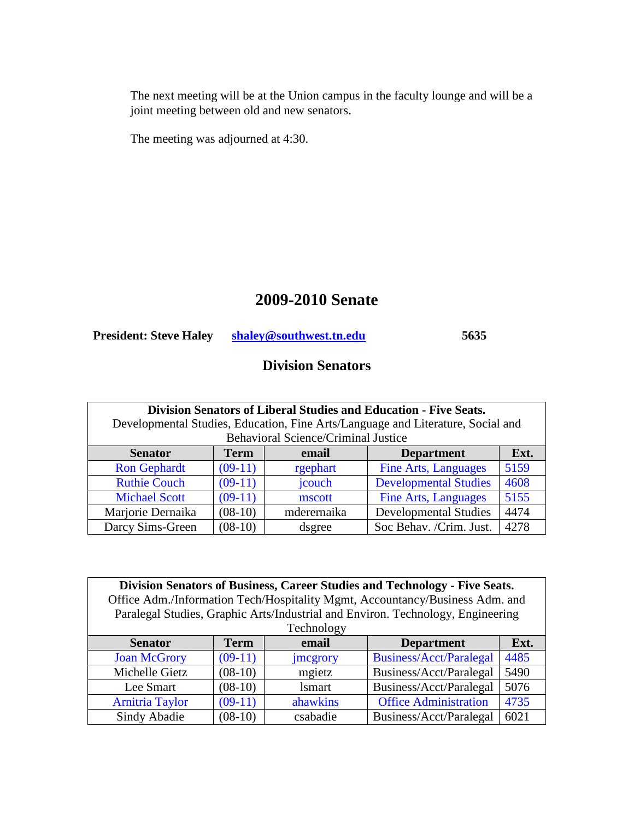The next meeting will be at the Union campus in the faculty lounge and will be a joint meeting between old and new senators.

The meeting was adjourned at 4:30.

# **2009-2010 Senate**

**President: Steve Haley [shaley@southwest.tn.edu](mailto:shaley@southwest.tn.edu) 5635** 

# **Division Senators**

| Division Senators of Liberal Studies and Education - Five Seats.                |           |                                            |                              |      |  |
|---------------------------------------------------------------------------------|-----------|--------------------------------------------|------------------------------|------|--|
| Developmental Studies, Education, Fine Arts/Language and Literature, Social and |           |                                            |                              |      |  |
|                                                                                 |           | <b>Behavioral Science/Criminal Justice</b> |                              |      |  |
| <b>Term</b><br>Ext.<br><b>Senator</b><br><b>Department</b><br>email             |           |                                            |                              |      |  |
| <b>Ron Gephardt</b>                                                             | $(09-11)$ | rgephart                                   | <b>Fine Arts, Languages</b>  | 5159 |  |
| <b>Ruthie Couch</b>                                                             | $(09-11)$ | jcouch                                     | <b>Developmental Studies</b> | 4608 |  |
| <b>Michael Scott</b>                                                            | $(09-11)$ | mscott                                     | <b>Fine Arts, Languages</b>  | 5155 |  |
| Marjorie Dernaika                                                               | $(08-10)$ | mderernaika                                | <b>Developmental Studies</b> | 4474 |  |
| Darcy Sims-Green                                                                | $(08-10)$ | dsgree                                     | Soc Behav. /Crim. Just.      | 4278 |  |

| Division Senators of Business, Career Studies and Technology - Five Seats.      |  |  |                                                |  |  |
|---------------------------------------------------------------------------------|--|--|------------------------------------------------|--|--|
| Office Adm./Information Tech/Hospitality Mgmt, Accountancy/Business Adm. and    |  |  |                                                |  |  |
| Paralegal Studies, Graphic Arts/Industrial and Environ. Technology, Engineering |  |  |                                                |  |  |
| Technology                                                                      |  |  |                                                |  |  |
|                                                                                 |  |  | $\mathbf{D}$ and $\mathbf{A}$ and $\mathbf{A}$ |  |  |

| <b>Senator</b>         | Term      | email         | <b>Department</b>              | Ext. |
|------------------------|-----------|---------------|--------------------------------|------|
| <b>Joan McGrory</b>    | $(09-11)$ | jmcgrory      | <b>Business/Acct/Paralegal</b> | 4485 |
| Michelle Gietz         | $(08-10)$ | mgietz        | Business/Acct/Paralegal        | 5490 |
| Lee Smart              | $(08-10)$ | <i>lsmart</i> | Business/Acct/Paralegal        | 5076 |
| <b>Arnitria Taylor</b> | $(09-11)$ | ahawkins      | <b>Office Administration</b>   | 4735 |
| Sindy Abadie           | $(08-10)$ | csabadie      | Business/Acct/Paralegal        | 6021 |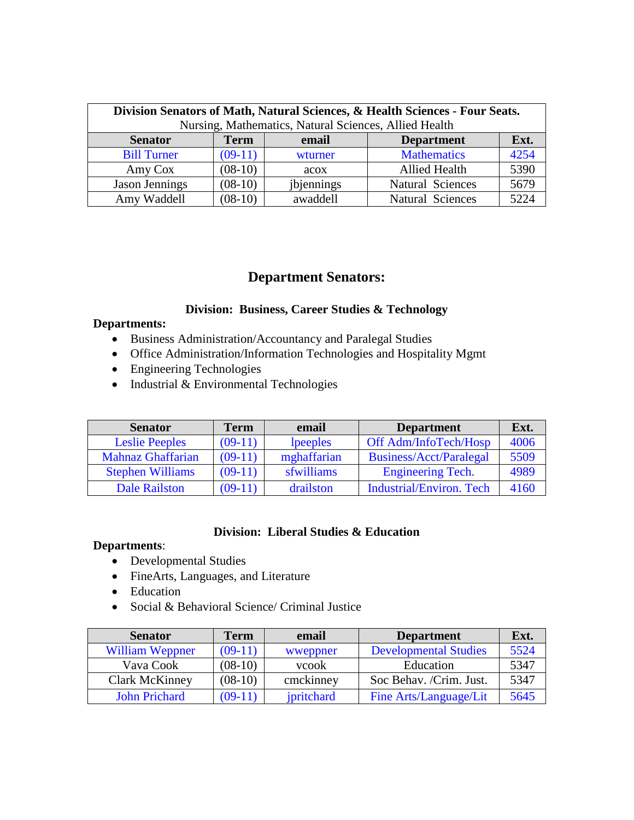| Division Senators of Math, Natural Sciences, & Health Sciences - Four Seats.<br>Nursing, Mathematics, Natural Sciences, Allied Health |           |            |                         |      |  |
|---------------------------------------------------------------------------------------------------------------------------------------|-----------|------------|-------------------------|------|--|
| <b>Senator</b><br><b>Term</b><br><b>Department</b><br>Ext.<br>email                                                                   |           |            |                         |      |  |
| <b>Bill Turner</b>                                                                                                                    | $(09-11)$ | wturner    | <b>Mathematics</b>      | 4254 |  |
| Amy Cox                                                                                                                               | $(08-10)$ | acox       | <b>Allied Health</b>    | 5390 |  |
| <b>Jason Jennings</b>                                                                                                                 | $(08-10)$ | jbjennings | <b>Natural Sciences</b> | 5679 |  |
| Amy Waddell                                                                                                                           | $(08-10)$ | awaddell   | <b>Natural Sciences</b> | 5224 |  |

## **Department Senators:**

### **Division: Business, Career Studies & Technology**

#### **Departments:**

- Business Administration/Accountancy and Paralegal Studies
- Office Administration/Information Technologies and Hospitality Mgmt
- Engineering Technologies
- Industrial & Environmental Technologies

| <b>Senator</b>           | Term      | email       | <b>Department</b>               | Ext. |
|--------------------------|-----------|-------------|---------------------------------|------|
| <b>Leslie Peeples</b>    | $(09-11)$ | lpeeples    | Off Adm/InfoTech/Hosp           | 4006 |
| <b>Mahnaz Ghaffarian</b> | $(09-11)$ | mghaffarian | Business/Acct/Paralegal         | 5509 |
| <b>Stephen Williams</b>  | $(09-11)$ | sfwilliams  | <b>Engineering Tech.</b>        | 4989 |
| <b>Dale Railston</b>     | $(09-11)$ | drailston   | <b>Industrial/Environ. Tech</b> | 4160 |

### **Division: Liberal Studies & Education**

#### **Departments**:

- Developmental Studies
- FineArts, Languages, and Literature
- Education
- Social & Behavioral Science/ Criminal Justice

| <b>Senator</b>       | Term      | email         | <b>Department</b>            | Ext. |
|----------------------|-----------|---------------|------------------------------|------|
| William Weppner      | $(09-11)$ | wweppner      | <b>Developmental Studies</b> | 5524 |
| Vava Cook            | $(08-10)$ | <b>v</b> cook | Education                    | 5347 |
| Clark McKinney       | $(08-10)$ | cmckinney     | Soc Behav. /Crim. Just.      | 5347 |
| <b>John Prichard</b> | $(09-11)$ | jpritchard    | Fine Arts/Language/Lit       | 5645 |